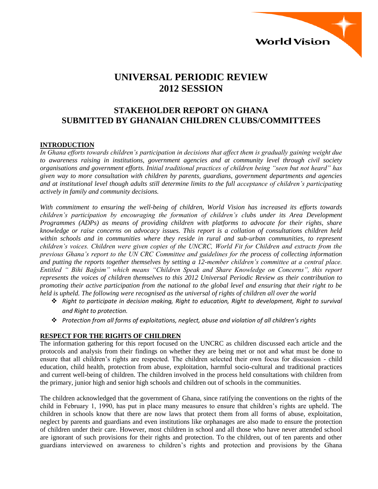

# **UNIVERSAL PERIODIC REVIEW 2012 SESSION**

# **STAKEHOLDER REPORT ON GHANA SUBMITTED BY GHANAIAN CHILDREN CLUBS/COMMITTEES**

#### **INTRODUCTION**

*In Ghana efforts towards children's participation in decisions that affect them is gradually gaining weight due to awareness raising in institutions, government agencies and at community level through civil society organisations and government efforts. Initial traditional practices of children being "seen but not heard" has given way to more consultation with children by parents, guardians, government departments and agencies and at institutional level though adults still determine limits to the full acceptance of children's participating actively in family and community decisions.*

*With commitment to ensuring the well-being of children, World Vision has increased its efforts towards children's participation by encouraging the formation of children's clubs under its Area Development Programmes (ADPs) as means of providing children with platforms to advocate for their rights, share knowledge or raise concerns on advocacy issues. This report is a collation of consultations children held within schools and in communities where they reside in rural and sub-urban communities, to represent children's voices. Children were given copies of the UNCRC, World Fit for Children and extracts from the previous Ghana's report to the UN CRC Committee and guidelines for the process of collecting information and putting the reports together themselves by setting a 12-member children's committee at a central place. Entitled " Bihi Baĝsim" which means "Children Speak and Share Knowledge on Concerns", this report represents the voices of children themselves to this 2012 Universal Periodic Review as their contribution to promoting their active participation from the national to the global level and ensuring that their right to be held is upheld. The following were recognised as the universal of rights of children all over the world*

- *Right to participate in decision making, Right to education, Right to development, Right to survival and Right to protection.*
- *Protection from all forms of exploitations, neglect, abuse and violation of all children's rights*

#### **RESPECT FOR THE RIGHTS OF CHILDREN**

The information gathering for this report focused on the UNCRC as children discussed each article and the protocols and analysis from their findings on whether they are being met or not and what must be done to ensure that all children's rights are respected. The children selected their own focus for discussion - child education, child health, protection from abuse, exploitation, harmful socio-cultural and traditional practices and current well-being of children. The children involved in the process held consultations with children from the primary, junior high and senior high schools and children out of schools in the communities.

The children acknowledged that the government of Ghana, since ratifying the conventions on the rights of the child in February 1, 1990, has put in place many measures to ensure that children's rights are upheld. The children in schools know that there are now laws that protect them from all forms of abuse, exploitation, neglect by parents and guardians and even institutions like orphanages are also made to ensure the protection of children under their care. However, most children in school and all those who have never attended school are ignorant of such provisions for their rights and protection. To the children, out of ten parents and other guardians interviewed on awareness to children's rights and protection and provisions by the Ghana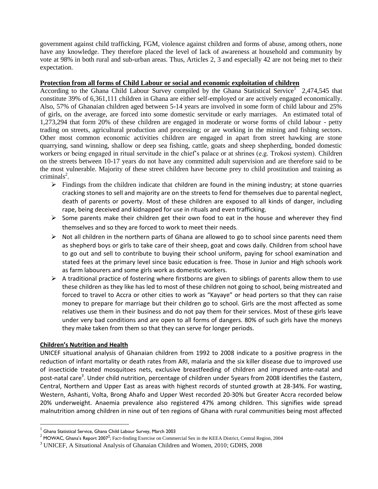government against child trafficking, FGM, violence against children and forms of abuse, among others, none have any knowledge. They therefore placed the level of lack of awareness at household and community by vote at 98% in both rural and sub-urban areas. Thus, Articles 2, 3 and especially 42 are not being met to their expectation.

#### **Protection from all forms of Child Labour or social and economic exploitation of children**

According to the Ghana Child Labour Survey compiled by the Ghana Statistical Service<sup>1</sup> 2,474,545 that constitute 39% of 6,361,111 children in Ghana are either self-employed or are actively engaged economically. Also, 57% of Ghanaian children aged between 5-14 years are involved in some form of child labour and 25% of girls, on the average, are forced into some domestic servitude or early marriages. An estimated total of 1,273,294 that form 20% of these children are engaged in moderate or worse forms of child labour - petty trading on streets, agricultural production and processing; or are working in the mining and fishing sectors. Other most common economic activities children are engaged in apart from street hawking are stone quarrying, sand winning, shallow or deep sea fishing, cattle, goats and sheep shepherding, bonded domestic workers or being engaged in ritual servitude in the chief's palace or at shrines (e.g. Trokosi system). Children on the streets between 10-17 years do not have any committed adult supervision and are therefore said to be the most vulnerable. Majority of these street children have become prey to child prostitution and training as  $criminals<sup>2</sup>$ .

- $\triangleright$  Findings from the children indicate that children are found in the mining industry; at stone quarries cracking stones to sell and majority are on the streets to fend for themselves due to parental neglect, death of parents or poverty. Most of these children are exposed to all kinds of danger, including rape, being deceived and kidnapped for use in rituals and even trafficking.
- $\triangleright$  Some parents make their children get their own food to eat in the house and wherever they find themselves and so they are forced to work to meet their needs.
- $\triangleright$  Not all children in the northern parts of Ghana are allowed to go to school since parents need them as shepherd boys or girls to take care of their sheep, goat and cows daily. Children from school have to go out and sell to contribute to buying their school uniform, paying for school examination and stated fees at the primary level since basic education is free. Those in Junior and High schools work as farm labourers and some girls work as domestic workers.
- $\triangleright$  A traditional practice of fostering where firstborns are given to siblings of parents allow them to use these children as they like has led to most of these children not going to school, being mistreated and forced to travel to Accra or other cities to work as "Kayaye" or head porters so that they can raise money to prepare for marriage but their children go to school. Girls are the most affected as some relatives use them in their business and do not pay them for their services. Most of these girls leave under very bad conditions and are open to all forms of dangers. 80% of such girls have the moneys they make taken from them so that they can serve for longer periods.

## **Children's Nutrition and Health**

 $\ddot{\phantom{a}}$ 

UNICEF situational analysis of Ghanaian children from 1992 to 2008 indicate to a positive progress in the reduction of infant mortality or death rates from ARI, malaria and the six killer disease due to improved use of insecticide treated mosquitoes nets, exclusive breastfeeding of children and improved ante-natal and post-natal care<sup>3</sup>. Under child nutrition, percentage of children under 5years from 2008 identifies the Eastern, Central, Northern and Upper East as areas with highest records of stunted growth at 28-34%. For wasting, Western, Ashanti, Volta, Brong Ahafo and Upper West recorded 20-30% but Greater Accra recorded below 20% underweight. Anaemia prevalence also registered 47% among children. This signifies wide spread malnutrition among children in nine out of ten regions of Ghana with rural communities being most affected

 $^{\rm 1}$  Ghana Statistical Service, Ghana Child Labour Survey, March 2003

<sup>&</sup>lt;sup>2</sup> MOWAC, Ghana's Report 2007<sup>2</sup>; Fact-finding Exercise on Commercial Sex in the KEEA District, Central Region, 2004

<sup>3</sup> UNICEF, A Situational Analysis of Ghanaian Children and Women, 2010; GDHS, 2008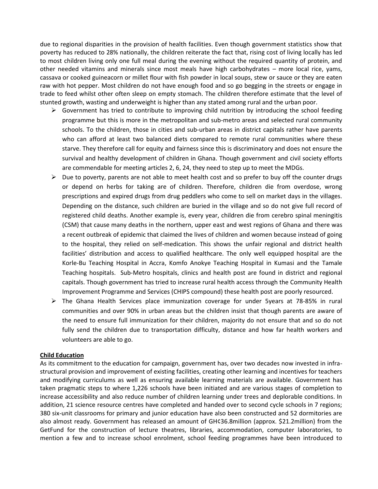due to regional disparities in the provision of health facilities. Even though government statistics show that poverty has reduced to 28% nationally, the children reiterate the fact that, rising cost of living locally has led to most children living only one full meal during the evening without the required quantity of protein, and other needed vitamins and minerals since most meals have high carbohydrates – more local rice, yams, cassava or cooked guineacorn or millet flour with fish powder in local soups, stew or sauce or they are eaten raw with hot pepper. Most children do not have enough food and so go begging in the streets or engage in trade to feed whilst other often sleep on empty stomach. The children therefore estimate that the level of stunted growth, wasting and underweight is higher than any stated among rural and the urban poor.

- $\triangleright$  Government has tried to contribute to improving child nutrition by introducing the school feeding programme but this is more in the metropolitan and sub-metro areas and selected rural community schools. To the children, those in cities and sub-urban areas in district capitals rather have parents who can afford at least two balanced diets compared to remote rural communities where these starve. They therefore call for equity and fairness since this is discriminatory and does not ensure the survival and healthy development of children in Ghana. Though government and civil society efforts are commendable for meeting articles 2, 6, 24, they need to step up to meet the MDGs.
- $\triangleright$  Due to poverty, parents are not able to meet health cost and so prefer to buy off the counter drugs or depend on herbs for taking are of children. Therefore, children die from overdose, wrong prescriptions and expired drugs from drug peddlers who come to sell on market days in the villages. Depending on the distance, such children are buried in the village and so do not give full record of registered child deaths. Another example is, every year, children die from cerebro spinal meningitis (CSM) that cause many deaths in the northern, upper east and west regions of Ghana and there was a recent outbreak of epidemic that claimed the lives of children and women because instead of going to the hospital, they relied on self-medication. This shows the unfair regional and district health facilities' distribution and access to qualified healthcare. The only well equipped hospital are the Korle-Bu Teaching Hospital in Accra, Komfo Anokye Teaching Hospital in Kumasi and the Tamale Teaching hospitals. Sub-Metro hospitals, clinics and health post are found in district and regional capitals. Though government has tried to increase rural health access through the Community Health Improvement Programme and Services (CHIPS compound) these health post are poorly resourced.
- $\triangleright$  The Ghana Health Services place immunization coverage for under 5years at 78-85% in rural communities and over 90% in urban areas but the children insist that though parents are aware of the need to ensure full immunization for their children, majority do not ensure that and so do not fully send the children due to transportation difficulty, distance and how far health workers and volunteers are able to go.

#### **Child Education**

As its commitment to the education for campaign, government has, over two decades now invested in infrastructural provision and improvement of existing facilities, creating other learning and incentives for teachers and modifying curriculums as well as ensuring available learning materials are available. Government has taken pragmatic steps to where 1,226 schools have been initiated and are various stages of completion to increase accessibility and also reduce number of children learning under trees and deplorable conditions. In addition, 21 science resource centres have completed and handed over to second cycle schools in 7 regions; 380 six-unit classrooms for primary and junior education have also been constructed and 52 dormitories are also almost ready. Government has released an amount of GH¢36.8million (approx. \$21.2million) from the GetFund for the construction of lecture theatres, libraries, accommodation, computer laboratories, to mention a few and to increase school enrolment, school feeding programmes have been introduced to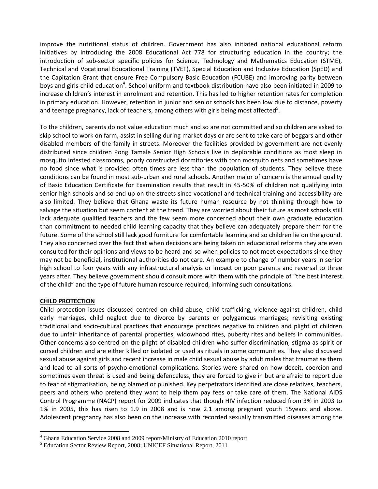improve the nutritional status of children. Government has also initiated national educational reform initiatives by introducing the 2008 Educational Act 778 for structuring education in the country; the introduction of sub-sector specific policies for Science, Technology and Mathematics Education (STME), Technical and Vocational Educational Training (TVET), Special Education and Inclusive Education (SpED) and the Capitation Grant that ensure Free Compulsory Basic Education (FCUBE) and improving parity between boys and girls-child education<sup>4</sup>. School uniform and textbook distribution have also been initiated in 2009 to increase children's interest in enrolment and retention. This has led to higher retention rates for completion in primary education. However, retention in junior and senior schools has been low due to distance, poverty and teenage pregnancy, lack of teachers, among others with girls being most affected<sup>5</sup>.

To the children, parents do not value education much and so are not committed and so children are asked to skip school to work on farm, assist in selling during market days or are sent to take care of beggars and other disabled members of the family in streets. Moreover the facilities provided by government are not evenly distributed since children Pong Tamale Senior High Schools live in deplorable conditions as most sleep in mosquito infested classrooms, poorly constructed dormitories with torn mosquito nets and sometimes have no food since what is provided often times are less than the population of students. They believe these conditions can be found in most sub-urban and rural schools. Another major of concern is the annual quality of Basic Education Certificate for Examination results that result in 45-50% of children not qualifying into senior high schools and so end up on the streets since vocational and technical training and accessibility are also limited. They believe that Ghana waste its future human resource by not thinking through how to salvage the situation but seem content at the trend. They are worried about their future as most schools still lack adequate qualified teachers and the few seem more concerned about their own graduate education than commitment to needed child learning capacity that they believe can adequately prepare them for the future. Some of the school still lack good furniture for comfortable learning and so children lie on the ground. They also concerned over the fact that when decisions are being taken on educational reforms they are even consulted for their opinions and views to be heard and so when policies to not meet expectations since they may not be beneficial, institutional authorities do not care. An example to change of number years in senior high school to four years with any infrastructural analysis or impact on poor parents and reversal to three years after. They believe government should consult more with them with the principle of "the best interest of the child" and the type of future human resource required, informing such consultations.

#### **CHILD PROTECTION**

 $\ddot{\phantom{a}}$ 

Child protection issues discussed centred on child abuse, child trafficking, violence against children, child early marriages, child neglect due to divorce by parents or polygamous marriages; revisiting existing traditional and socio-cultural practices that encourage practices negative to children and plight of children due to unfair inheritance of parental properties, widowhood rites, puberty rites and beliefs in communities. Other concerns also centred on the plight of disabled children who suffer discrimination, stigma as spirit or cursed children and are either killed or isolated or used as rituals in some communities. They also discussed sexual abuse against girls and recent increase in male child sexual abuse by adult males that traumatise them and lead to all sorts of psycho-emotional complications. Stories were shared on how deceit, coercion and sometimes even threat is used and being defenceless, they are forced to give in but are afraid to report due to fear of stigmatisation, being blamed or punished. Key perpetrators identified are close relatives, teachers, peers and others who pretend they want to help them pay fees or take care of them. The National AIDS Control Programme (NACP) report for 2009 indicates that though HIV infection reduced from 3% in 2003 to 1% in 2005, this has risen to 1.9 in 2008 and is now 2.1 among pregnant youth 15years and above. Adolescent pregnancy has also been on the increase with recorded sexually transmitted diseases among the

<sup>&</sup>lt;sup>4</sup> Ghana Education Service 2008 and 2009 report/Ministry of Education 2010 report

<sup>5</sup> Education Sector Review Report, 2008; UNICEF Situational Report, 2011